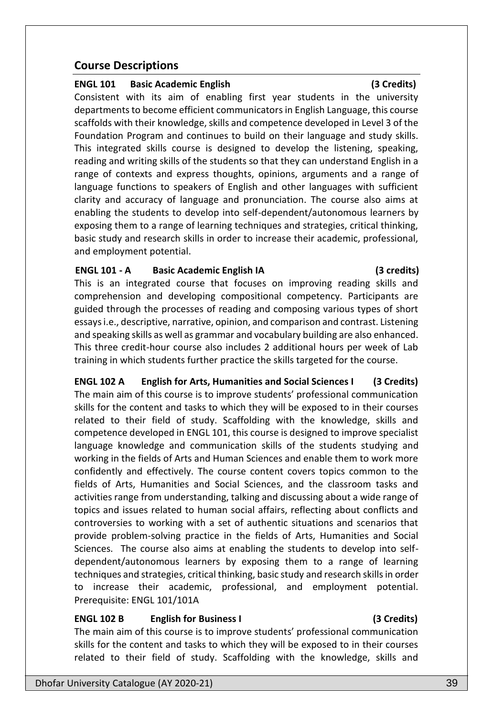# **Course Descriptions**

## **ENGL 101 Basic Academic English (3 Credits)**

Consistent with its aim of enabling first year students in the university departments to become efficient communicators in English Language, this course scaffolds with their knowledge, skills and competence developed in Level 3 of the Foundation Program and continues to build on their language and study skills. This integrated skills course is designed to develop the listening, speaking, reading and writing skills of the students so that they can understand English in a range of contexts and express thoughts, opinions, arguments and a range of language functions to speakers of English and other languages with sufficient clarity and accuracy of language and pronunciation. The course also aims at enabling the students to develop into self-dependent/autonomous learners by exposing them to a range of learning techniques and strategies, critical thinking, basic study and research skills in order to increase their academic, professional, and employment potential.

### **ENGL 101 - A Basic Academic English IA (3 credits)**

This is an integrated course that focuses on improving reading skills and comprehension and developing compositional competency. Participants are guided through the processes of reading and composing various types of short essays i.e., descriptive, narrative, opinion, and comparison and contrast. Listening and speaking skills as well as grammar and vocabulary building are also enhanced. This three credit-hour course also includes 2 additional hours per week of Lab training in which students further practice the skills targeted for the course.

**ENGL 102 A English for Arts, Humanities and Social Sciences I (3 Credits)** The main aim of this course is to improve students' professional communication skills for the content and tasks to which they will be exposed to in their courses related to their field of study. Scaffolding with the knowledge, skills and competence developed in ENGL 101, this course is designed to improve specialist language knowledge and communication skills of the students studying and working in the fields of Arts and Human Sciences and enable them to work more confidently and effectively. The course content covers topics common to the fields of Arts, Humanities and Social Sciences, and the classroom tasks and activities range from understanding, talking and discussing about a wide range of topics and issues related to human social affairs, reflecting about conflicts and controversies to working with a set of authentic situations and scenarios that provide problem-solving practice in the fields of Arts, Humanities and Social Sciences. The course also aims at enabling the students to develop into selfdependent/autonomous learners by exposing them to a range of learning techniques and strategies, critical thinking, basic study and research skills in order to increase their academic, professional, and employment potential. Prerequisite: ENGL 101/101A

# **ENGL 102 B English for Business I (3 Credits)**

The main aim of this course is to improve students' professional communication skills for the content and tasks to which they will be exposed to in their courses related to their field of study. Scaffolding with the knowledge, skills and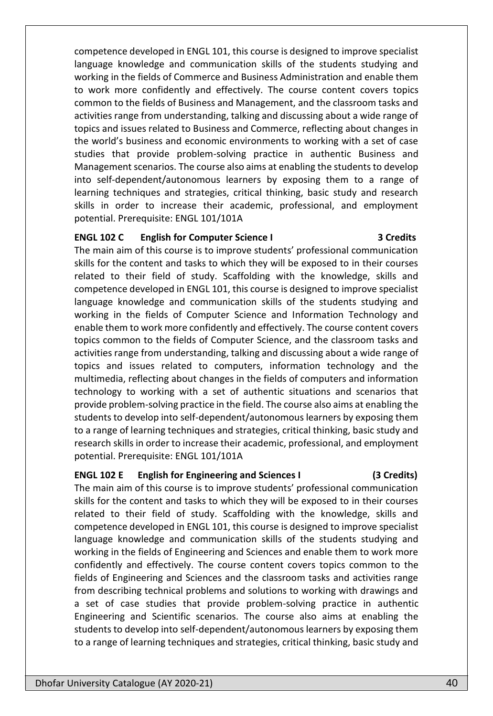competence developed in ENGL 101, this course is designed to improve specialist language knowledge and communication skills of the students studying and working in the fields of Commerce and Business Administration and enable them to work more confidently and effectively. The course content covers topics common to the fields of Business and Management, and the classroom tasks and activities range from understanding, talking and discussing about a wide range of topics and issues related to Business and Commerce, reflecting about changes in the world's business and economic environments to working with a set of case studies that provide problem-solving practice in authentic Business and Management scenarios. The course also aims at enabling the students to develop into self-dependent/autonomous learners by exposing them to a range of learning techniques and strategies, critical thinking, basic study and research skills in order to increase their academic, professional, and employment potential. Prerequisite: ENGL 101/101A

### **ENGL 102 C English for Computer Science I 3 Credits**

The main aim of this course is to improve students' professional communication skills for the content and tasks to which they will be exposed to in their courses related to their field of study. Scaffolding with the knowledge, skills and competence developed in ENGL 101, this course is designed to improve specialist language knowledge and communication skills of the students studying and working in the fields of Computer Science and Information Technology and enable them to work more confidently and effectively. The course content covers topics common to the fields of Computer Science, and the classroom tasks and activities range from understanding, talking and discussing about a wide range of topics and issues related to computers, information technology and the multimedia, reflecting about changes in the fields of computers and information technology to working with a set of authentic situations and scenarios that provide problem-solving practice in the field. The course also aims at enabling the students to develop into self-dependent/autonomous learners by exposing them to a range of learning techniques and strategies, critical thinking, basic study and research skills in order to increase their academic, professional, and employment potential. Prerequisite: ENGL 101/101A

# **ENGL 102 E English for Engineering and Sciences I (3 Credits)**

The main aim of this course is to improve students' professional communication skills for the content and tasks to which they will be exposed to in their courses related to their field of study. Scaffolding with the knowledge, skills and competence developed in ENGL 101, this course is designed to improve specialist language knowledge and communication skills of the students studying and working in the fields of Engineering and Sciences and enable them to work more confidently and effectively. The course content covers topics common to the fields of Engineering and Sciences and the classroom tasks and activities range from describing technical problems and solutions to working with drawings and a set of case studies that provide problem-solving practice in authentic Engineering and Scientific scenarios. The course also aims at enabling the students to develop into self-dependent/autonomous learners by exposing them to a range of learning techniques and strategies, critical thinking, basic study and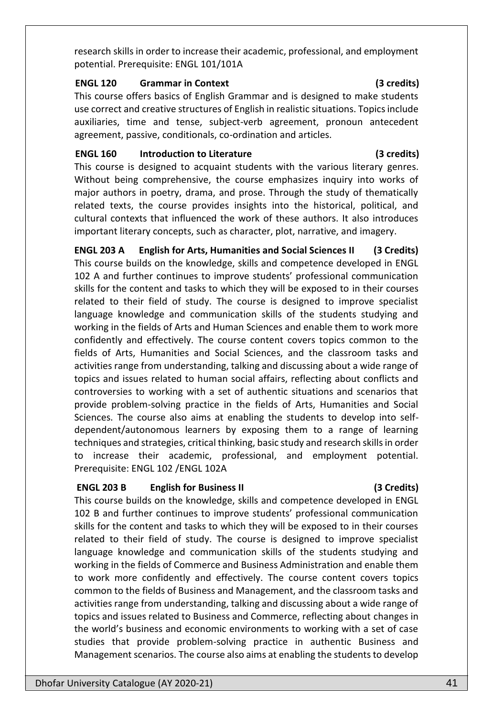research skills in order to increase their academic, professional, and employment potential. Prerequisite: ENGL 101/101A

### **ENGL 120 Grammar in Context (3 credits)**

This course offers basics of English Grammar and is designed to make students use correct and creative structures of English in realistic situations. Topics include auxiliaries, time and tense, subject-verb agreement, pronoun antecedent agreement, passive, conditionals, co-ordination and articles.

## **ENGL 160 Introduction to Literature (3 credits)**

This course is designed to acquaint students with the various literary genres. Without being comprehensive, the course emphasizes inquiry into works of major authors in poetry, drama, and prose. Through the study of thematically related texts, the course provides insights into the historical, political, and cultural contexts that influenced the work of these authors. It also introduces important literary concepts, such as character, plot, narrative, and imagery.

**ENGL 203 A English for Arts, Humanities and Social Sciences II (3 Credits)** This course builds on the knowledge, skills and competence developed in ENGL 102 A and further continues to improve students' professional communication skills for the content and tasks to which they will be exposed to in their courses related to their field of study. The course is designed to improve specialist language knowledge and communication skills of the students studying and working in the fields of Arts and Human Sciences and enable them to work more confidently and effectively. The course content covers topics common to the fields of Arts, Humanities and Social Sciences, and the classroom tasks and activities range from understanding, talking and discussing about a wide range of topics and issues related to human social affairs, reflecting about conflicts and controversies to working with a set of authentic situations and scenarios that provide problem-solving practice in the fields of Arts, Humanities and Social Sciences. The course also aims at enabling the students to develop into selfdependent/autonomous learners by exposing them to a range of learning techniques and strategies, critical thinking, basic study and research skills in order to increase their academic, professional, and employment potential. Prerequisite: ENGL 102 /ENGL 102A

# **ENGL 203 B English for Business II (3 Credits)**

This course builds on the knowledge, skills and competence developed in ENGL 102 B and further continues to improve students' professional communication skills for the content and tasks to which they will be exposed to in their courses related to their field of study. The course is designed to improve specialist language knowledge and communication skills of the students studying and working in the fields of Commerce and Business Administration and enable them to work more confidently and effectively. The course content covers topics common to the fields of Business and Management, and the classroom tasks and activities range from understanding, talking and discussing about a wide range of topics and issues related to Business and Commerce, reflecting about changes in the world's business and economic environments to working with a set of case studies that provide problem-solving practice in authentic Business and Management scenarios. The course also aims at enabling the students to develop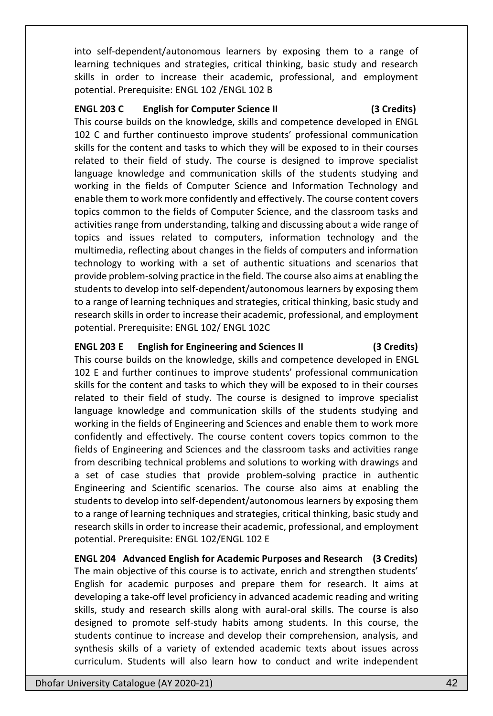into self-dependent/autonomous learners by exposing them to a range of learning techniques and strategies, critical thinking, basic study and research skills in order to increase their academic, professional, and employment potential. Prerequisite: ENGL 102 /ENGL 102 B

### **ENGL 203 C English for Computer Science II (3 Credits)**

This course builds on the knowledge, skills and competence developed in ENGL 102 C and further continuesto improve students' professional communication skills for the content and tasks to which they will be exposed to in their courses related to their field of study. The course is designed to improve specialist language knowledge and communication skills of the students studying and working in the fields of Computer Science and Information Technology and enable them to work more confidently and effectively. The course content covers topics common to the fields of Computer Science, and the classroom tasks and activities range from understanding, talking and discussing about a wide range of topics and issues related to computers, information technology and the multimedia, reflecting about changes in the fields of computers and information technology to working with a set of authentic situations and scenarios that provide problem-solving practice in the field. The course also aims at enabling the students to develop into self-dependent/autonomous learners by exposing them to a range of learning techniques and strategies, critical thinking, basic study and research skills in order to increase their academic, professional, and employment potential. Prerequisite: ENGL 102/ ENGL 102C

# **ENGL 203 E English for Engineering and Sciences II (3 Credits)**

This course builds on the knowledge, skills and competence developed in ENGL 102 E and further continues to improve students' professional communication skills for the content and tasks to which they will be exposed to in their courses related to their field of study. The course is designed to improve specialist language knowledge and communication skills of the students studying and working in the fields of Engineering and Sciences and enable them to work more confidently and effectively. The course content covers topics common to the fields of Engineering and Sciences and the classroom tasks and activities range from describing technical problems and solutions to working with drawings and a set of case studies that provide problem-solving practice in authentic Engineering and Scientific scenarios. The course also aims at enabling the students to develop into self-dependent/autonomous learners by exposing them to a range of learning techniques and strategies, critical thinking, basic study and research skills in order to increase their academic, professional, and employment potential. Prerequisite: ENGL 102/ENGL 102 E

**ENGL 204 Advanced English for Academic Purposes and Research (3 Credits)**  The main objective of this course is to activate, enrich and strengthen students' English for academic purposes and prepare them for research. It aims at developing a take-off level proficiency in advanced academic reading and writing skills, study and research skills along with aural-oral skills. The course is also designed to promote self-study habits among students. In this course, the students continue to increase and develop their comprehension, analysis, and synthesis skills of a variety of extended academic texts about issues across curriculum. Students will also learn how to conduct and write independent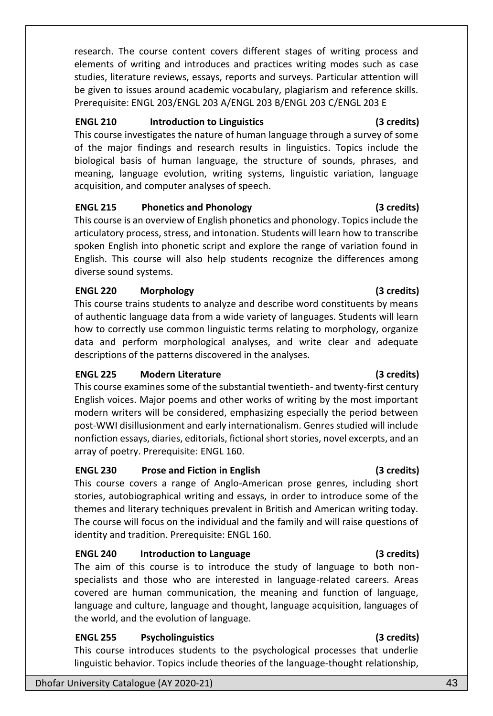research. The course content covers different stages of writing process and elements of writing and introduces and practices writing modes such as case studies, literature reviews, essays, reports and surveys. Particular attention will be given to issues around academic vocabulary, plagiarism and reference skills. Prerequisite: ENGL 203/ENGL 203 A/ENGL 203 B/ENGL 203 C/ENGL 203 E

# **ENGL 210 Introduction to Linguistics (3 credits)**

This course investigates the nature of human language through a survey of some of the major findings and research results in linguistics. Topics include the biological basis of human language, the structure of sounds, phrases, and meaning, language evolution, writing systems, linguistic variation, language acquisition, and computer analyses of speech.

### **ENGL 215 Phonetics and Phonology (3 credits)**

This course is an overview of English phonetics and phonology. Topics include the articulatory process, stress, and intonation. Students will learn how to transcribe spoken English into phonetic script and explore the range of variation found in English. This course will also help students recognize the differences among diverse sound systems.

### **ENGL 220 Morphology (3 credits)**

This course trains students to analyze and describe word constituents by means of authentic language data from a wide variety of languages. Students will learn how to correctly use common linguistic terms relating to morphology, organize data and perform morphological analyses, and write clear and adequate descriptions of the patterns discovered in the analyses.

# **ENGL 225 Modern Literature (3 credits)**

This course examines some of the substantial twentieth- and twenty-first century English voices. Major poems and other works of writing by the most important modern writers will be considered, emphasizing especially the period between post-WWI disillusionment and early internationalism. Genres studied will include nonfiction essays, diaries, editorials, fictional short stories, novel excerpts, and an array of poetry. Prerequisite: ENGL 160.

### **ENGL 230 Prose and Fiction in English (3 credits)**

This course covers a range of Anglo-American prose genres, including short stories, autobiographical writing and essays, in order to introduce some of the themes and literary techniques prevalent in British and American writing today. The course will focus on the individual and the family and will raise questions of identity and tradition. Prerequisite: ENGL 160.

### **ENGL 240 Introduction to Language (3 credits)**

The aim of this course is to introduce the study of language to both nonspecialists and those who are interested in language-related careers. Areas covered are human communication, the meaning and function of language, language and culture, language and thought, language acquisition, languages of the world, and the evolution of language.

### **ENGL 255 Psycholinguistics (3 credits)**

This course introduces students to the psychological processes that underlie linguistic behavior. Topics include theories of the language-thought relationship,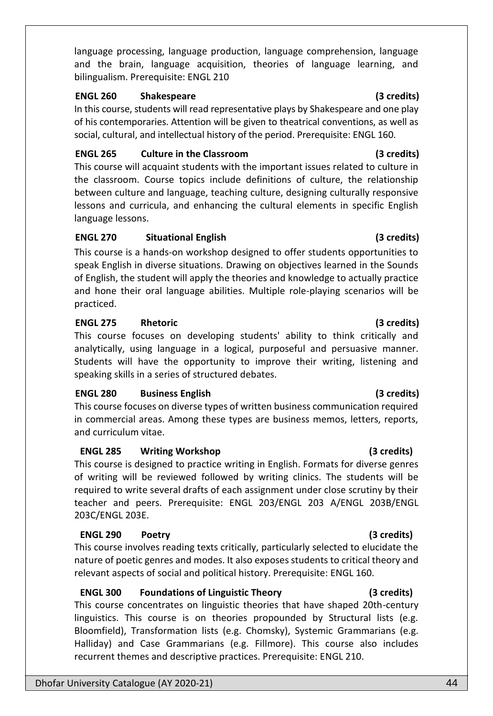language processing, language production, language comprehension, language and the brain, language acquisition, theories of language learning, and bilingualism. Prerequisite: ENGL 210

### **ENGL 260 Shakespeare (3 credits)**

In this course, students will read representative plays by Shakespeare and one play of his contemporaries. Attention will be given to theatrical conventions, as well as social, cultural, and intellectual history of the period. Prerequisite: ENGL 160.

## **ENGL 265 Culture in the Classroom (3 credits)**

This course will acquaint students with the important issues related to culture in the classroom. Course topics include definitions of culture, the relationship between culture and language, teaching culture, designing culturally responsive lessons and curricula, and enhancing the cultural elements in specific English language lessons.

# **ENGL 270 Situational English (3 credits)**

This course is a hands-on workshop designed to offer students opportunities to speak English in diverse situations. Drawing on objectives learned in the Sounds of English, the student will apply the theories and knowledge to actually practice and hone their oral language abilities. Multiple role-playing scenarios will be practiced.

# **ENGL 275 Rhetoric (3 credits)**

This course focuses on developing students' ability to think critically and analytically, using language in a logical, purposeful and persuasive manner. Students will have the opportunity to improve their writing, listening and speaking skills in a series of structured debates.

# **ENGL 280 Business English (3 credits)**

This course focuses on diverse types of written business communication required in commercial areas. Among these types are business memos, letters, reports, and curriculum vitae.

# **ENGL 285 Writing Workshop (3 credits)**

This course is designed to practice writing in English. Formats for diverse genres of writing will be reviewed followed by writing clinics. The students will be required to write several drafts of each assignment under close scrutiny by their teacher and peers. Prerequisite: ENGL 203/ENGL 203 A/ENGL 203B/ENGL 203C/ENGL 203E.

# **ENGL 290 Poetry (3 credits)**

This course involves reading texts critically, particularly selected to elucidate the nature of poetic genres and modes. It also exposes students to critical theory and relevant aspects of social and political history. Prerequisite: ENGL 160.

# **ENGL 300 Foundations of Linguistic Theory (3 credits)**

This course concentrates on linguistic theories that have shaped 20th-century linguistics. This course is on theories propounded by Structural lists (e.g. Bloomfield), Transformation lists (e.g. Chomsky), Systemic Grammarians (e.g. Halliday) and Case Grammarians (e.g. Fillmore). This course also includes recurrent themes and descriptive practices. Prerequisite: ENGL 210.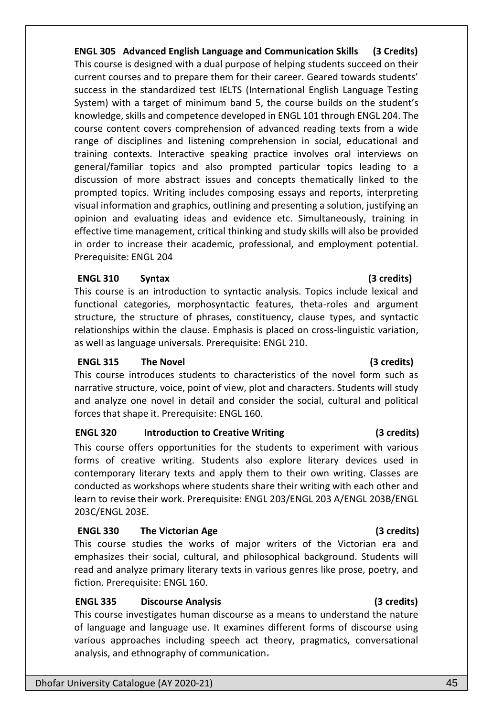**ENGL 305 Advanced English Language and Communication Skills (3 Credits)** This course is designed with a dual purpose of helping students succeed on their current courses and to prepare them for their career. Geared towards students' success in the standardized test IELTS (International English Language Testing System) with a target of minimum band 5, the course builds on the student's knowledge, skills and competence developed in ENGL 101 through ENGL 204. The course content covers comprehension of advanced reading texts from a wide range of disciplines and listening comprehension in social, educational and training contexts. Interactive speaking practice involves oral interviews on general/familiar topics and also prompted particular topics leading to a discussion of more abstract issues and concepts thematically linked to the prompted topics. Writing includes composing essays and reports, interpreting visual information and graphics, outlining and presenting a solution, justifying an opinion and evaluating ideas and evidence etc. Simultaneously, training in effective time management, critical thinking and study skills will also be provided in order to increase their academic, professional, and employment potential. Prerequisite: ENGL 204

### **ENGL 310 Syntax (3 credits)**

This course is an introduction to syntactic analysis. Topics include lexical and functional categories, morphosyntactic features, theta-roles and argument structure, the structure of phrases, constituency, clause types, and syntactic relationships within the clause. Emphasis is placed on cross-linguistic variation, as well as language universals. Prerequisite: ENGL 210.

### **ENGL 315 The Novel (3 credits)**

This course introduces students to characteristics of the novel form such as narrative structure, voice, point of view, plot and characters. Students will study and analyze one novel in detail and consider the social, cultural and political forces that shape it. Prerequisite: ENGL 160.

### **ENGL 320 Introduction to Creative Writing (3 credits)**

This course offers opportunities for the students to experiment with various forms of creative writing. Students also explore literary devices used in contemporary literary texts and apply them to their own writing. Classes are conducted as workshops where students share their writing with each other and learn to revise their work. Prerequisite: ENGL 203/ENGL 203 A/ENGL 203B/ENGL 203C/ENGL 203E.

### **ENGL 330 The Victorian Age (3 credits)**

This course studies the works of major writers of the Victorian era and emphasizes their social, cultural, and philosophical background. Students will read and analyze primary literary texts in various genres like prose, poetry, and fiction. Prerequisite: ENGL 160.

# **ENGL 335 Discourse Analysis (3 credits)**

This course investigates human discourse as a means to understand the nature of language and language use. It examines different forms of discourse using various approaches including speech act theory, pragmatics, conversational analysis, and ethnography of communication.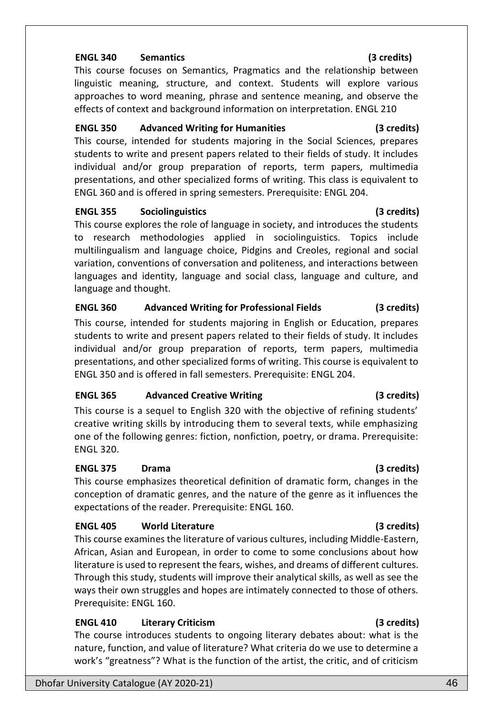# **ENGL 340 Semantics (3 credits)**

This course focuses on Semantics, Pragmatics and the relationship between linguistic meaning, structure, and context. Students will explore various approaches to word meaning, phrase and sentence meaning, and observe the effects of context and background information on interpretation. ENGL 210

# **ENGL 350 Advanced Writing for Humanities (3 credits)**

This course, intended for students majoring in the Social Sciences, prepares students to write and present papers related to their fields of study. It includes individual and/or group preparation of reports, term papers, multimedia presentations, and other specialized forms of writing. This class is equivalent to ENGL 360 and is offered in spring semesters. Prerequisite: ENGL 204.

# **ENGL 355 Sociolinguistics (3 credits)**

This course explores the role of language in society, and introduces the students to research methodologies applied in sociolinguistics. Topics include multilingualism and language choice, Pidgins and Creoles, regional and social variation, conventions of conversation and politeness, and interactions between languages and identity, language and social class, language and culture, and language and thought.

# **ENGL 360 Advanced Writing for Professional Fields (3 credits)**

This course, intended for students majoring in English or Education, prepares students to write and present papers related to their fields of study. It includes individual and/or group preparation of reports, term papers, multimedia presentations, and other specialized forms of writing. This course is equivalent to ENGL 350 and is offered in fall semesters. Prerequisite: ENGL 204.

# **ENGL 365 Advanced Creative Writing (3 credits)**

This course is a sequel to English 320 with the objective of refining students' creative writing skills by introducing them to several texts, while emphasizing one of the following genres: fiction, nonfiction, poetry, or drama. Prerequisite: ENGL 320.

# **ENGL 375 Drama (3 credits)**

This course emphasizes theoretical definition of dramatic form, changes in the conception of dramatic genres, and the nature of the genre as it influences the expectations of the reader. Prerequisite: ENGL 160.

# **ENGL 405 World Literature (3 credits)**

This course examines the literature of various cultures, including Middle-Eastern, African, Asian and European, in order to come to some conclusions about how literature is used to represent the fears, wishes, and dreams of different cultures. Through this study, students will improve their analytical skills, as well as see the ways their own struggles and hopes are intimately connected to those of others. Prerequisite: ENGL 160.

# **ENGL 410 Literary Criticism (3 credits)**

The course introduces students to ongoing literary debates about: what is the nature, function, and value of literature? What criteria do we use to determine a work's "greatness"? What is the function of the artist, the critic, and of criticism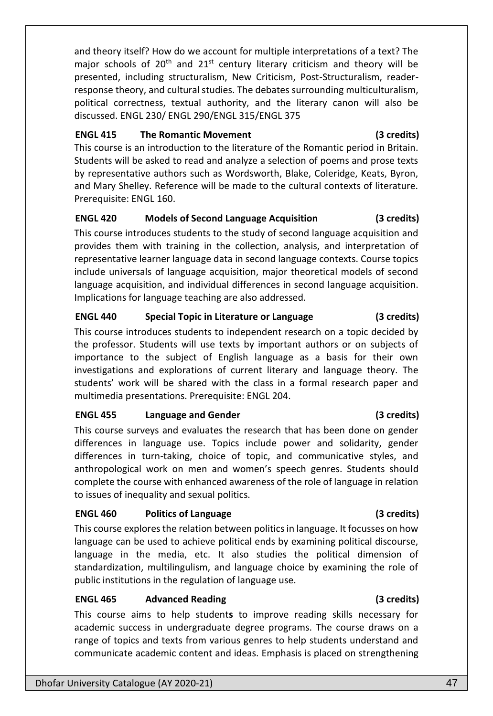and theory itself? How do we account for multiple interpretations of a text? The major schools of  $20<sup>th</sup>$  and  $21<sup>st</sup>$  century literary criticism and theory will be presented, including structuralism, New Criticism, Post-Structuralism, readerresponse theory, and cultural studies. The debates surrounding multiculturalism, political correctness, textual authority, and the literary canon will also be discussed. ENGL 230/ ENGL 290/ENGL 315/ENGL 375

## **ENGL 415 The Romantic Movement (3 credits)**

This course is an introduction to the literature of the Romantic period in Britain. Students will be asked to read and analyze a selection of poems and prose texts by representative authors such as Wordsworth, Blake, Coleridge, Keats, Byron, and Mary Shelley. Reference will be made to the cultural contexts of literature. Prerequisite: ENGL 160.

# **ENGL 420 Models of Second Language Acquisition (3 credits)**

This course introduces students to the study of second language acquisition and provides them with training in the collection, analysis, and interpretation of representative learner language data in second language contexts. Course topics include universals of language acquisition, major theoretical models of second language acquisition, and individual differences in second language acquisition. Implications for language teaching are also addressed.

# **ENGL 440 Special Topic in Literature or Language (3 credits)**

This course introduces students to independent research on a topic decided by the professor. Students will use texts by important authors or on subjects of importance to the subject of English language as a basis for their own investigations and explorations of current literary and language theory. The students' work will be shared with the class in a formal research paper and multimedia presentations. Prerequisite: ENGL 204.

# **ENGL 455 Language and Gender (3 credits)**

This course surveys and evaluates the research that has been done on gender differences in language use. Topics include power and solidarity, gender differences in turn-taking, choice of topic, and communicative styles, and anthropological work on men and women's speech genres. Students should complete the course with enhanced awareness of the role of language in relation to issues of inequality and sexual politics.

# **ENGL 460 Politics of Language (3 credits)**

This course explores the relation between politics in language. It focusses on how language can be used to achieve political ends by examining political discourse, language in the media, etc. It also studies the political dimension of standardization, multilingulism, and language choice by examining the role of public institutions in the regulation of language use.

# **ENGL 465 Advanced Reading (3 credits)**

This course aims to help student**s** to improve reading skills necessary for academic success in undergraduate degree programs. The course draws on a range of topics and texts from various genres to help students understand and communicate academic content and ideas. Emphasis is placed on strengthening